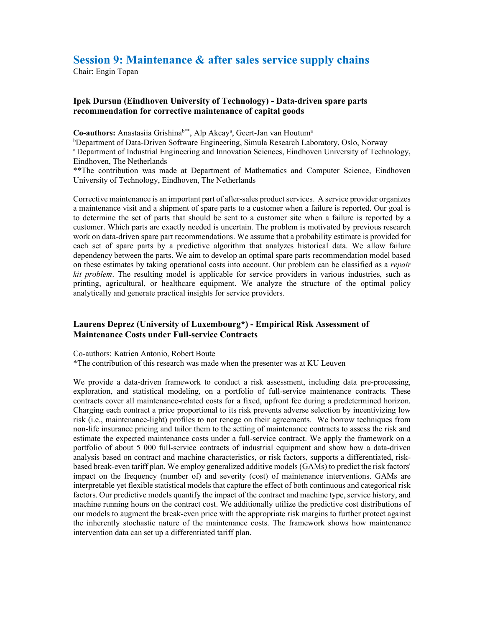## Session 9: Maintenance & after sales service supply chains

Chair: Engin Topan

## Ipek Dursun (Eindhoven University of Technology) - Data-driven spare parts recommendation for corrective maintenance of capital goods

Co-authors: Anastasiia Grishina<sup>b\*\*</sup>, Alp Akcay<sup>a</sup>, Geert-Jan van Houtum<sup>a</sup>

<sup>b</sup>Department of Data-Driven Software Engineering, Simula Research Laboratory, Oslo, Norway

<sup>a</sup> Department of Industrial Engineering and Innovation Sciences, Eindhoven University of Technology, Eindhoven, The Netherlands

\*\*The contribution was made at Department of Mathematics and Computer Science, Eindhoven University of Technology, Eindhoven, The Netherlands

Corrective maintenance is an important part of after-sales product services. A service provider organizes a maintenance visit and a shipment of spare parts to a customer when a failure is reported. Our goal is to determine the set of parts that should be sent to a customer site when a failure is reported by a customer. Which parts are exactly needed is uncertain. The problem is motivated by previous research work on data-driven spare part recommendations. We assume that a probability estimate is provided for each set of spare parts by a predictive algorithm that analyzes historical data. We allow failure dependency between the parts. We aim to develop an optimal spare parts recommendation model based on these estimates by taking operational costs into account. Our problem can be classified as a repair kit problem. The resulting model is applicable for service providers in various industries, such as printing, agricultural, or healthcare equipment. We analyze the structure of the optimal policy analytically and generate practical insights for service providers.

## Laurens Deprez (University of Luxembourg\*) - Empirical Risk Assessment of Maintenance Costs under Full-service Contracts

Co-authors: Katrien Antonio, Robert Boute

\*The contribution of this research was made when the presenter was at KU Leuven

We provide a data-driven framework to conduct a risk assessment, including data pre-processing, exploration, and statistical modeling, on a portfolio of full-service maintenance contracts. These contracts cover all maintenance-related costs for a fixed, upfront fee during a predetermined horizon. Charging each contract a price proportional to its risk prevents adverse selection by incentivizing low risk (i.e., maintenance-light) profiles to not renege on their agreements. We borrow techniques from non-life insurance pricing and tailor them to the setting of maintenance contracts to assess the risk and estimate the expected maintenance costs under a full-service contract. We apply the framework on a portfolio of about 5 000 full-service contracts of industrial equipment and show how a data-driven analysis based on contract and machine characteristics, or risk factors, supports a differentiated, riskbased break-even tariff plan. We employ generalized additive models (GAMs) to predict the risk factors' impact on the frequency (number of) and severity (cost) of maintenance interventions. GAMs are interpretable yet flexible statistical models that capture the effect of both continuous and categorical risk factors. Our predictive models quantify the impact of the contract and machine type, service history, and machine running hours on the contract cost. We additionally utilize the predictive cost distributions of our models to augment the break-even price with the appropriate risk margins to further protect against the inherently stochastic nature of the maintenance costs. The framework shows how maintenance intervention data can set up a differentiated tariff plan.